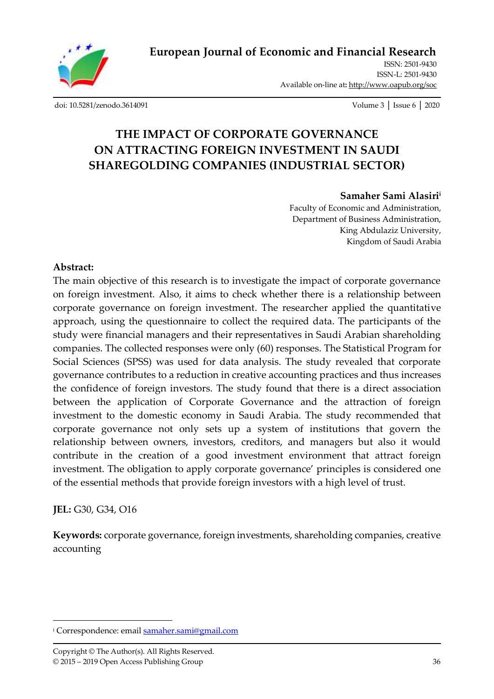

ISSN: 2501-9430 ISSN-L: 2501-943[0](http://oapub.org/soc/index.php/EJSSS) Available on-line at**:** <http://www.oapub.org/soc>

[doi: 10.5281/zenodo.3614091](http://dx.doi.org/10.5281/zenodo.3614091) Volume 3 │ Issue 6 │ 2020

# **THE IMPACT OF CORPORATE GOVERNANCE ON ATTRACTING FOREIGN INVESTMENT IN SAUDI SHAREGOLDING COMPANIES (INDUSTRIAL SECTOR)**

#### **Samaher Sami Alasiri<sup>i</sup>**

Faculty of Economic and Administration, Department of Business Administration, King Abdulaziz University, Kingdom of Saudi Arabia

### **Abstract:**

The main objective of this research is to investigate the impact of corporate governance on foreign investment. Also, it aims to check whether there is a relationship between corporate governance on foreign investment. The researcher applied the quantitative approach, using the questionnaire to collect the required data. The participants of the study were financial managers and their representatives in Saudi Arabian shareholding companies. The collected responses were only (60) responses. The Statistical Program for Social Sciences (SPSS) was used for data analysis. The study revealed that corporate governance contributes to a reduction in creative accounting practices and thus increases the confidence of foreign investors. The study found that there is a direct association between the application of Corporate Governance and the attraction of foreign investment to the domestic economy in Saudi Arabia. The study recommended that corporate governance not only sets up a system of institutions that govern the relationship between owners, investors, creditors, and managers but also it would contribute in the creation of a good investment environment that attract foreign investment. The obligation to apply corporate governance' principles is considered one of the essential methods that provide foreign investors with a high level of trust.

**JEL:** G30, G34, O16

**Keywords:** corporate governance, foreign investments, shareholding companies, creative accounting

<sup>&</sup>lt;sup>i</sup> Correspondence: emai[l samaher.sami@gmail.com](mailto:samaher.sami@gmail.com)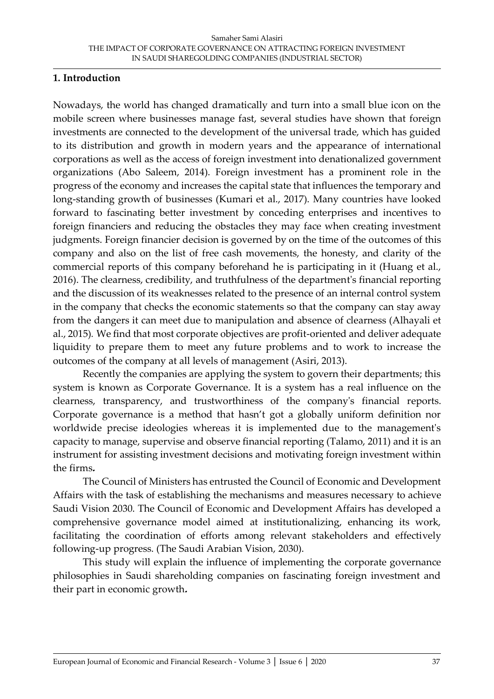### **1. Introduction**

Nowadays, the world has changed dramatically and turn into a small blue icon on the mobile screen where businesses manage fast, several studies have shown that foreign investments are connected to the development of the universal trade, which has guided to its distribution and growth in modern years and the appearance of international corporations as well as the access of foreign investment into denationalized government organizations (Abo Saleem, 2014). Foreign investment has a prominent role in the progress of the economy and increases the capital state that influences the temporary and long-standing growth of businesses (Kumari et al., 2017). Many countries have looked forward to fascinating better investment by conceding enterprises and incentives to foreign financiers and reducing the obstacles they may face when creating investment judgments. Foreign financier decision is governed by on the time of the outcomes of this company and also on the list of free cash movements, the honesty, and clarity of the commercial reports of this company beforehand he is participating in it (Huang et al., 2016). The clearness, credibility, and truthfulness of the department's financial reporting and the discussion of its weaknesses related to the presence of an internal control system in the company that checks the economic statements so that the company can stay away from the dangers it can meet due to manipulation and absence of clearness (Alhayali et al., 2015)*.* We find that most corporate objectives are profit-oriented and deliver adequate liquidity to prepare them to meet any future problems and to work to increase the outcomes of the company at all levels of management (Asiri, 2013).

Recently the companies are applying the system to govern their departments; this system is known as Corporate Governance. It is a system has a real influence on the clearness, transparency, and trustworthiness of the company's financial reports. Corporate governance is a method that hasn't got a globally uniform definition nor worldwide precise ideologies whereas it is implemented due to the management's capacity to manage, supervise and observe financial reporting (Talamo, 2011) and it is an instrument for assisting investment decisions and motivating foreign investment within the firms.

The Council of Ministers has entrusted the Council of Economic and Development Affairs with the task of establishing the mechanisms and measures necessary to achieve Saudi Vision 2030. The Council of Economic and Development Affairs has developed a comprehensive governance model aimed at institutionalizing, enhancing its work, facilitating the coordination of efforts among relevant stakeholders and effectively following-up progress. (The Saudi Arabian Vision, 2030).

This study will explain the influence of implementing the corporate governance philosophies in Saudi shareholding companies on fascinating foreign investment and their part in economic growth.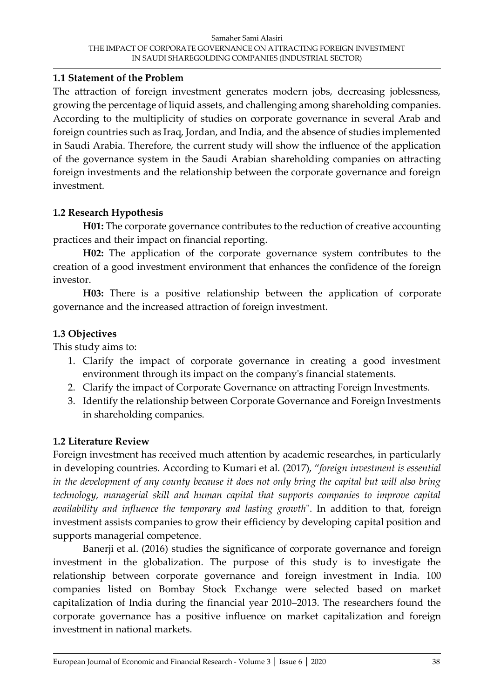### **1.1 Statement of the Problem**

The attraction of foreign investment generates modern jobs, decreasing joblessness, growing the percentage of liquid assets, and challenging among shareholding companies. According to the multiplicity of studies on corporate governance in several Arab and foreign countries such as Iraq, Jordan, and India, and the absence of studies implemented in Saudi Arabia. Therefore, the current study will show the influence of the application of the governance system in the Saudi Arabian shareholding companies on attracting foreign investments and the relationship between the corporate governance and foreign investment.

# **1.2 Research Hypothesis**

**H01:** The corporate governance contributes to the reduction of creative accounting practices and their impact on financial reporting.

**H02:** The application of the corporate governance system contributes to the creation of a good investment environment that enhances the confidence of the foreign investor.

**H03:** There is a positive relationship between the application of corporate governance and the increased attraction of foreign investment.

# **1.3 Objectives**

This study aims to:

- 1. Clarify the impact of corporate governance in creating a good investment environment through its impact on the company's financial statements.
- 2. Clarify the impact of Corporate Governance on attracting Foreign Investments.
- 3. Identify the relationship between Corporate Governance and Foreign Investments in shareholding companies.

# **1.2 Literature Review**

Foreign investment has received much attention by academic researches, in particularly in developing countries. According to Kumari et al. (2017), "*foreign investment is essential in the development of any county because it does not only bring the capital but will also bring technology, managerial skill and human capital that supports companies to improve capital availability and influence the temporary and lasting growth*". In addition to that, foreign investment assists companies to grow their efficiency by developing capital position and supports managerial competence.

Banerji et al. (2016) studies the significance of corporate governance and foreign investment in the globalization. The purpose of this study is to investigate the relationship between corporate governance and foreign investment in India. 100 companies listed on Bombay Stock Exchange were selected based on market capitalization of India during the financial year 2010–2013. The researchers found the corporate governance has a positive influence on market capitalization and foreign investment in national markets.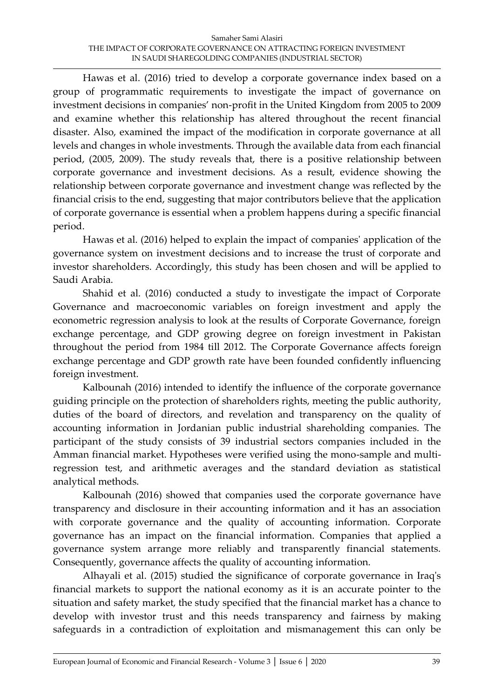Hawas et al. (2016) tried to develop a corporate governance index based on a group of programmatic requirements to investigate the impact of governance on investment decisions in companies' non-profit in the United Kingdom from 2005 to 2009 and examine whether this relationship has altered throughout the recent financial disaster. Also, examined the impact of the modification in corporate governance at all levels and changes in whole investments. Through the available data from each financial period, (2005, 2009). The study reveals that, there is a positive relationship between corporate governance and investment decisions. As a result, evidence showing the relationship between corporate governance and investment change was reflected by the financial crisis to the end, suggesting that major contributors believe that the application of corporate governance is essential when a problem happens during a specific financial period.

Hawas et al. (2016) helped to explain the impact of companies' application of the governance system on investment decisions and to increase the trust of corporate and investor shareholders. Accordingly, this study has been chosen and will be applied to Saudi Arabia.

Shahid et al. (2016) conducted a study to investigate the impact of Corporate Governance and macroeconomic variables on foreign investment and apply the econometric regression analysis to look at the results of Corporate Governance, foreign exchange percentage, and GDP growing degree on foreign investment in Pakistan throughout the period from 1984 till 2012. The Corporate Governance affects foreign exchange percentage and GDP growth rate have been founded confidently influencing foreign investment.

Kalbounah (2016) intended to identify the influence of the corporate governance guiding principle on the protection of shareholders rights, meeting the public authority, duties of the board of directors, and revelation and transparency on the quality of accounting information in Jordanian public industrial shareholding companies. The participant of the study consists of 39 industrial sectors companies included in the Amman financial market. Hypotheses were verified using the mono-sample and multiregression test, and arithmetic averages and the standard deviation as statistical analytical methods.

Kalbounah (2016) showed that companies used the corporate governance have transparency and disclosure in their accounting information and it has an association with corporate governance and the quality of accounting information. Corporate governance has an impact on the financial information. Companies that applied a governance system arrange more reliably and transparently financial statements. Consequently, governance affects the quality of accounting information.

Alhayali et al. (2015) studied the significance of corporate governance in Iraq's financial markets to support the national economy as it is an accurate pointer to the situation and safety market, the study specified that the financial market has a chance to develop with investor trust and this needs transparency and fairness by making safeguards in a contradiction of exploitation and mismanagement this can only be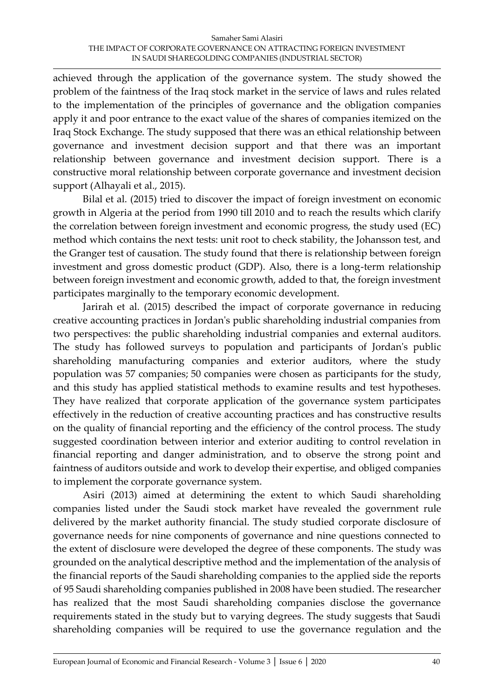achieved through the application of the governance system. The study showed the problem of the faintness of the Iraq stock market in the service of laws and rules related to the implementation of the principles of governance and the obligation companies apply it and poor entrance to the exact value of the shares of companies itemized on the Iraq Stock Exchange. The study supposed that there was an ethical relationship between governance and investment decision support and that there was an important relationship between governance and investment decision support. There is a constructive moral relationship between corporate governance and investment decision support (Alhayali et al., 2015).

Bilal et al. (2015) tried to discover the impact of foreign investment on economic growth in Algeria at the period from 1990 till 2010 and to reach the results which clarify the correlation between foreign investment and economic progress, the study used (EC) method which contains the next tests: unit root to check stability, the Johansson test, and the Granger test of causation. The study found that there is relationship between foreign investment and gross domestic product (GDP). Also, there is a long-term relationship between foreign investment and economic growth, added to that, the foreign investment participates marginally to the temporary economic development.

Jarirah et al. (2015) described the impact of corporate governance in reducing creative accounting practices in Jordan's public shareholding industrial companies from two perspectives: the public shareholding industrial companies and external auditors. The study has followed surveys to population and participants of Jordan's public shareholding manufacturing companies and exterior auditors, where the study population was 57 companies; 50 companies were chosen as participants for the study, and this study has applied statistical methods to examine results and test hypotheses. They have realized that corporate application of the governance system participates effectively in the reduction of creative accounting practices and has constructive results on the quality of financial reporting and the efficiency of the control process. The study suggested coordination between interior and exterior auditing to control revelation in financial reporting and danger administration, and to observe the strong point and faintness of auditors outside and work to develop their expertise, and obliged companies to implement the corporate governance system.

Asiri (2013) aimed at determining the extent to which Saudi shareholding companies listed under the Saudi stock market have revealed the government rule delivered by the market authority financial. The study studied corporate disclosure of governance needs for nine components of governance and nine questions connected to the extent of disclosure were developed the degree of these components. The study was grounded on the analytical descriptive method and the implementation of the analysis of the financial reports of the Saudi shareholding companies to the applied side the reports of 95 Saudi shareholding companies published in 2008 have been studied. The researcher has realized that the most Saudi shareholding companies disclose the governance requirements stated in the study but to varying degrees. The study suggests that Saudi shareholding companies will be required to use the governance regulation and the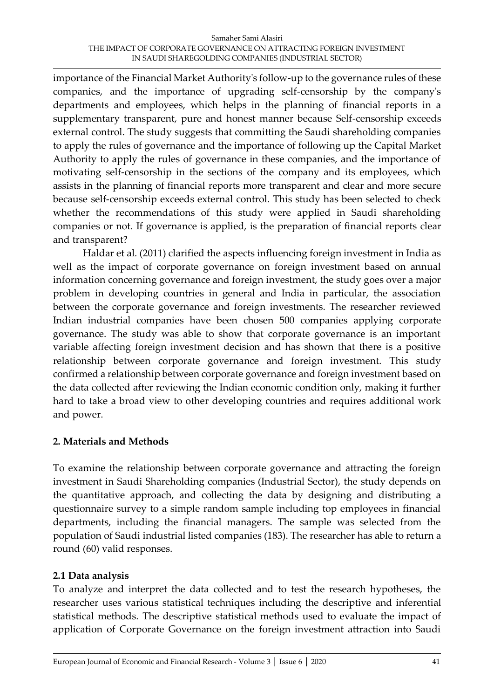#### Samaher Sami Alasiri THE IMPACT OF CORPORATE GOVERNANCE ON ATTRACTING FOREIGN INVESTMENT IN SAUDI SHAREGOLDING COMPANIES (INDUSTRIAL SECTOR)

importance of the Financial Market Authority's follow-up to the governance rules of these companies, and the importance of upgrading self-censorship by the company's departments and employees, which helps in the planning of financial reports in a supplementary transparent, pure and honest manner because Self-censorship exceeds external control. The study suggests that committing the Saudi shareholding companies to apply the rules of governance and the importance of following up the Capital Market Authority to apply the rules of governance in these companies, and the importance of motivating self-censorship in the sections of the company and its employees, which assists in the planning of financial reports more transparent and clear and more secure because self-censorship exceeds external control. This study has been selected to check whether the recommendations of this study were applied in Saudi shareholding companies or not. If governance is applied, is the preparation of financial reports clear and transparent?

Haldar et al. (2011) clarified the aspects influencing foreign investment in India as well as the impact of corporate governance on foreign investment based on annual information concerning governance and foreign investment, the study goes over a major problem in developing countries in general and India in particular, the association between the corporate governance and foreign investments. The researcher reviewed Indian industrial companies have been chosen 500 companies applying corporate governance. The study was able to show that corporate governance is an important variable affecting foreign investment decision and has shown that there is a positive relationship between corporate governance and foreign investment. This study confirmed a relationship between corporate governance and foreign investment based on the data collected after reviewing the Indian economic condition only, making it further hard to take a broad view to other developing countries and requires additional work and power.

### **2. Materials and Methods**

To examine the relationship between corporate governance and attracting the foreign investment in Saudi Shareholding companies (Industrial Sector), the study depends on the quantitative approach, and collecting the data by designing and distributing a questionnaire survey to a simple random sample including top employees in financial departments, including the financial managers. The sample was selected from the population of Saudi industrial listed companies (183). The researcher has able to return a round (60) valid responses.

# **2.1 Data analysis**

To analyze and interpret the data collected and to test the research hypotheses, the researcher uses various statistical techniques including the descriptive and inferential statistical methods. The descriptive statistical methods used to evaluate the impact of application of Corporate Governance on the foreign investment attraction into Saudi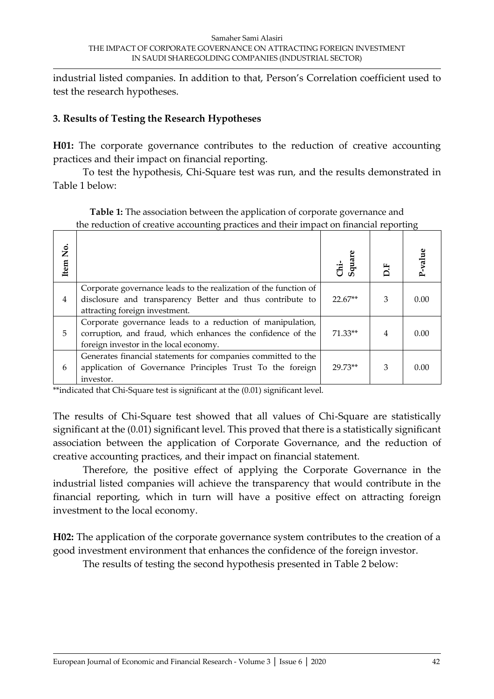industrial listed companies. In addition to that, Person's Correlation coefficient used to test the research hypotheses.

### **3. Results of Testing the Research Hypotheses**

**H01:** The corporate governance contributes to the reduction of creative accounting practices and their impact on financial reporting.

To test the hypothesis, Chi-Square test was run, and the results demonstrated in Table 1 below:

| the returnment of creative accounting practices and their impact on imancial reporting |                                                                                                                                                                     |                |    |       |
|----------------------------------------------------------------------------------------|---------------------------------------------------------------------------------------------------------------------------------------------------------------------|----------------|----|-------|
| Item No.                                                                               |                                                                                                                                                                     | Chi-<br>Square | E. | value |
| $\overline{4}$                                                                         | Corporate governance leads to the realization of the function of<br>disclosure and transparency Better and thus contribute to<br>attracting foreign investment.     | $22.67**$      | 3  | 0.00  |
| 5                                                                                      | Corporate governance leads to a reduction of manipulation,<br>corruption, and fraud, which enhances the confidence of the<br>foreign investor in the local economy. | $71.33**$      | 4  | 0.00  |
| 6                                                                                      | Generates financial statements for companies committed to the<br>application of Governance Principles Trust To the foreign<br>investor.                             | 29.73**        | 3  | 0.00  |

**Table 1:** The association between the application of corporate governance and the reduction of creative accounting practices and their impact on financial reporting

\*\*indicated that Chi-Square test is significant at the (0.01) significant level.

The results of Chi-Square test showed that all values of Chi-Square are statistically significant at the (0.01) significant level. This proved that there is a statistically significant association between the application of Corporate Governance, and the reduction of creative accounting practices, and their impact on financial statement.

Therefore, the positive effect of applying the Corporate Governance in the industrial listed companies will achieve the transparency that would contribute in the financial reporting, which in turn will have a positive effect on attracting foreign investment to the local economy.

**H02:** The application of the corporate governance system contributes to the creation of a good investment environment that enhances the confidence of the foreign investor.

The results of testing the second hypothesis presented in Table 2 below: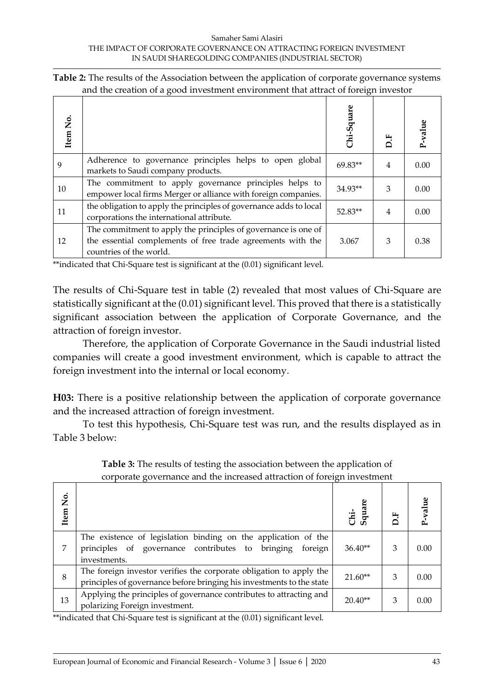| Table 2: The results of the Association between the application of corporate governance systems |  |
|-------------------------------------------------------------------------------------------------|--|
| and the creation of a good investment environment that attract of foreign investor              |  |

| Item No. |                                                                                                                                                          | Chi-Square |                | -value |
|----------|----------------------------------------------------------------------------------------------------------------------------------------------------------|------------|----------------|--------|
| 9        | Adherence to governance principles helps to open global<br>markets to Saudi company products.                                                            | $69.83**$  | $\overline{4}$ | 0.00   |
| 10       | The commitment to apply governance principles helps to<br>empower local firms Merger or alliance with foreign companies.                                 | $34.93**$  | 3              | 0.00   |
| 11       | the obligation to apply the principles of governance adds to local<br>corporations the international attribute.                                          | 52.83**    | $\overline{4}$ | 0.00   |
| 12       | The commitment to apply the principles of governance is one of<br>the essential complements of free trade agreements with the<br>countries of the world. | 3.067      | 3              | 0.38   |

\*\*indicated that Chi-Square test is significant at the (0.01) significant level.

The results of Chi-Square test in table (2) revealed that most values of Chi-Square are statistically significant at the (0.01) significant level. This proved that there is a statistically significant association between the application of Corporate Governance, and the attraction of foreign investor.

Therefore, the application of Corporate Governance in the Saudi industrial listed companies will create a good investment environment, which is capable to attract the foreign investment into the internal or local economy.

**H03:** There is a positive relationship between the application of corporate governance and the increased attraction of foreign investment.

To test this hypothesis, Chi-Square test was run, and the results displayed as in Table 3 below:

| Item No. |                                                                                                                                               | Chi-<br>Square | E. | P-value |
|----------|-----------------------------------------------------------------------------------------------------------------------------------------------|----------------|----|---------|
| 7        | The existence of legislation binding on the application of the<br>principles of governance contributes to bringing<br>foreign<br>investments. | $36.40**$      | 3  | 0.00    |
| 8        | The foreign investor verifies the corporate obligation to apply the<br>principles of governance before bringing his investments to the state  | $21.60**$      | 3  | 0.00    |
| 13       | Applying the principles of governance contributes to attracting and<br>polarizing Foreign investment.                                         | $20.40**$      | 3  | 0.00    |

**Table 3:** The results of testing the association between the application of corporate governance and the increased attraction of foreign investment

\*\*indicated that Chi-Square test is significant at the (0.01) significant level.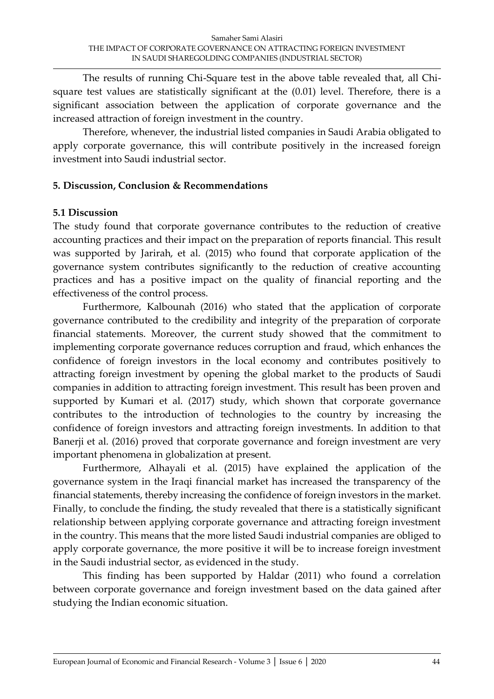The results of running Chi-Square test in the above table revealed that, all Chisquare test values are statistically significant at the (0.01) level. Therefore, there is a significant association between the application of corporate governance and the increased attraction of foreign investment in the country.

Therefore, whenever, the industrial listed companies in Saudi Arabia obligated to apply corporate governance, this will contribute positively in the increased foreign investment into Saudi industrial sector.

### **5. Discussion, Conclusion & Recommendations**

### **5.1 Discussion**

The study found that corporate governance contributes to the reduction of creative accounting practices and their impact on the preparation of reports financial. This result was supported by Jarirah, et al. (2015) who found that corporate application of the governance system contributes significantly to the reduction of creative accounting practices and has a positive impact on the quality of financial reporting and the effectiveness of the control process.

Furthermore, Kalbounah (2016) who stated that the application of corporate governance contributed to the credibility and integrity of the preparation of corporate financial statements. Moreover, the current study showed that the commitment to implementing corporate governance reduces corruption and fraud, which enhances the confidence of foreign investors in the local economy and contributes positively to attracting foreign investment by opening the global market to the products of Saudi companies in addition to attracting foreign investment. This result has been proven and supported by Kumari et al. (2017) study, which shown that corporate governance contributes to the introduction of technologies to the country by increasing the confidence of foreign investors and attracting foreign investments. In addition to that Banerji et al. (2016) proved that corporate governance and foreign investment are very important phenomena in globalization at present.

Furthermore, Alhayali et al. (2015) have explained the application of the governance system in the Iraqi financial market has increased the transparency of the financial statements, thereby increasing the confidence of foreign investors in the market. Finally, to conclude the finding, the study revealed that there is a statistically significant relationship between applying corporate governance and attracting foreign investment in the country. This means that the more listed Saudi industrial companies are obliged to apply corporate governance, the more positive it will be to increase foreign investment in the Saudi industrial sector, as evidenced in the study.

This finding has been supported by Haldar (2011) who found a correlation between corporate governance and foreign investment based on the data gained after studying the Indian economic situation.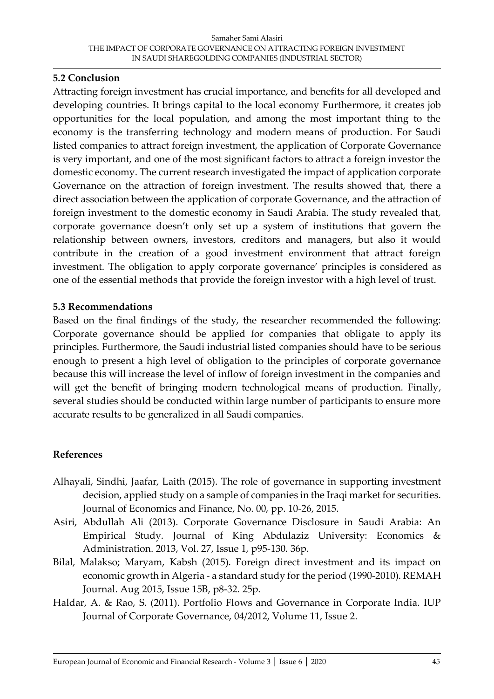#### **5.2 Conclusion**

Attracting foreign investment has crucial importance, and benefits for all developed and developing countries. It brings capital to the local economy Furthermore, it creates job opportunities for the local population, and among the most important thing to the economy is the transferring technology and modern means of production. For Saudi listed companies to attract foreign investment, the application of Corporate Governance is very important, and one of the most significant factors to attract a foreign investor the domestic economy. The current research investigated the impact of application corporate Governance on the attraction of foreign investment. The results showed that, there a direct association between the application of corporate Governance, and the attraction of foreign investment to the domestic economy in Saudi Arabia. The study revealed that, corporate governance doesn't only set up a system of institutions that govern the relationship between owners, investors, creditors and managers, but also it would contribute in the creation of a good investment environment that attract foreign investment. The obligation to apply corporate governance' principles is considered as one of the essential methods that provide the foreign investor with a high level of trust.

#### **5.3 Recommendations**

Based on the final findings of the study, the researcher recommended the following: Corporate governance should be applied for companies that obligate to apply its principles. Furthermore, the Saudi industrial listed companies should have to be serious enough to present a high level of obligation to the principles of corporate governance because this will increase the level of inflow of foreign investment in the companies and will get the benefit of bringing modern technological means of production. Finally, several studies should be conducted within large number of participants to ensure more accurate results to be generalized in all Saudi companies.

### **References**

- Alhayali, Sindhi, Jaafar, Laith (2015). The role of governance in supporting investment decision, applied study on a sample of companies in the Iraqi market for securities. Journal of Economics and Finance, No. 00, pp. 10-26, 2015.
- Asiri, Abdullah Ali (2013). Corporate Governance Disclosure in Saudi Arabia: An Empirical Study. Journal of King Abdulaziz University: Economics & Administration. 2013, Vol. 27, Issue 1, p95-130. 36p.
- Bilal, Malakso; Maryam, Kabsh (2015). Foreign direct investment and its impact on economic growth in Algeria - a standard study for the period (1990-2010). REMAH Journal. Aug 2015, Issue 15B, p8-32. 25p.
- Haldar, A. & Rao, S. (2011). Portfolio Flows and Governance in Corporate India. IUP Journal of Corporate Governance, 04/2012, Volume 11, Issue 2.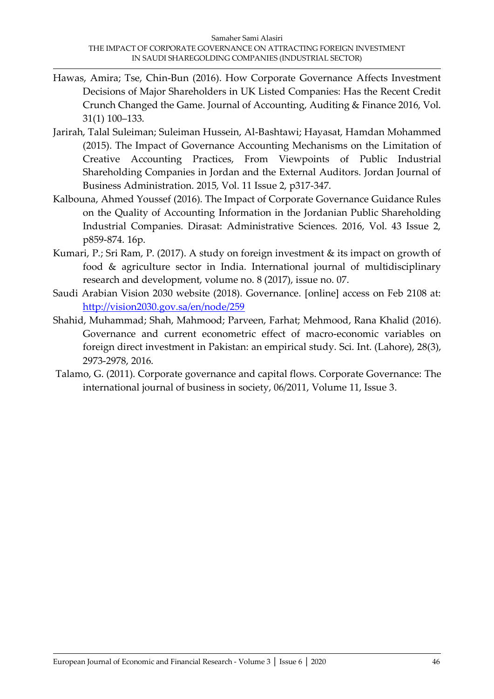- Hawas, Amira; Tse, Chin-Bun (2016). How Corporate Governance Affects Investment Decisions of Major Shareholders in UK Listed Companies: Has the Recent Credit Crunch Changed the Game. Journal of Accounting, Auditing & Finance 2016, Vol. 31(1) 100–133.
- Jarirah, Talal Suleiman; Suleiman Hussein, Al-Bashtawi; Hayasat, Hamdan Mohammed (2015). The Impact of Governance Accounting Mechanisms on the Limitation of Creative Accounting Practices, From Viewpoints of Public Industrial Shareholding Companies in Jordan and the External Auditors. Jordan Journal of Business Administration. 2015, Vol. 11 Issue 2, p317-347.
- Kalbouna, Ahmed Youssef (2016). The Impact of Corporate Governance Guidance Rules on the Quality of Accounting Information in the Jordanian Public Shareholding Industrial Companies. Dirasat: Administrative Sciences. 2016, Vol. 43 Issue 2, p859-874. 16p.
- Kumari, P.; Sri Ram, P. (2017). A study on foreign investment & its impact on growth of food & agriculture sector in India. International journal of multidisciplinary research and development, volume no. 8 (2017), issue no. 07.
- Saudi Arabian Vision 2030 website (2018). Governance. [online] access on Feb 2108 at: <http://vision2030.gov.sa/en/node/259>
- Shahid, Muhammad; Shah, Mahmood; Parveen, Farhat; Mehmood, Rana Khalid (2016). Governance and current econometric effect of macro-economic variables on foreign direct investment in Pakistan: an empirical study. Sci. Int. (Lahore), 28(3), 2973-2978, 2016.
- Talamo, G. (2011). Corporate governance and capital flows. Corporate Governance: The international journal of business in society, 06/2011, Volume 11, Issue 3.